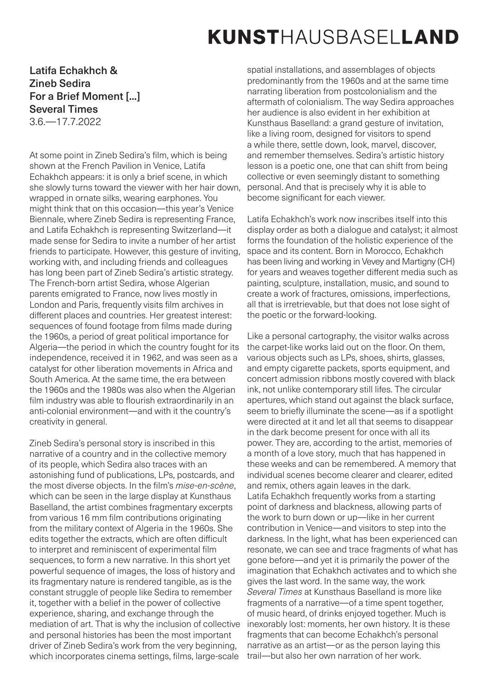## KUNSTHAUSBASELLAND

## Latifa Echakhch & Zineb Sedira For a Brief Moment [...] Several Times

3.6.—17.7.2022

At some point in Zineb Sedira's film, which is being shown at the French Pavilion in Venice, Latifa Echakhch appears: it is only a brief scene, in which she slowly turns toward the viewer with her hair down, wrapped in ornate silks, wearing earphones. You might think that on this occasion—this year's Venice Biennale, where Zineb Sedira is representing France, and Latifa Echakhch is representing Switzerland—it made sense for Sedira to invite a number of her artist friends to participate. However, this gesture of inviting, working with, and including friends and colleagues has long been part of Zineb Sedira's artistic strategy. The French-born artist Sedira, whose Algerian parents emigrated to France, now lives mostly in London and Paris, frequently visits film archives in different places and countries. Her greatest interest: sequences of found footage from films made during the 1960s, a period of great political importance for Algeria—the period in which the country fought for its independence, received it in 1962, and was seen as a catalyst for other liberation movements in Africa and South America. At the same time, the era between the 1960s and the 1980s was also when the Algerian film industry was able to flourish extraordinarily in an anti-colonial environment—and with it the country's creativity in general.

Zineb Sedira's personal story is inscribed in this narrative of a country and in the collective memory of its people, which Sedira also traces with an astonishing fund of publications, LPs, postcards, and the most diverse objects. In the film's *mise-en-scène*, which can be seen in the large display at Kunsthaus Baselland, the artist combines fragmentary excerpts from various 16 mm film contributions originating from the military context of Algeria in the 1960s. She edits together the extracts, which are often difficult to interpret and reminiscent of experimental film sequences, to form a new narrative. In this short yet powerful sequence of images, the loss of history and its fragmentary nature is rendered tangible, as is the constant struggle of people like Sedira to remember it, together with a belief in the power of collective experience, sharing, and exchange through the mediation of art. That is why the inclusion of collective and personal histories has been the most important driver of Zineb Sedira's work from the very beginning, which incorporates cinema settings, films, large-scale

spatial installations, and assemblages of objects predominantly from the 1960s and at the same time narrating liberation from postcolonialism and the aftermath of colonialism. The way Sedira approaches her audience is also evident in her exhibition at Kunsthaus Baselland: a grand gesture of invitation, like a living room, designed for visitors to spend a while there, settle down, look, marvel, discover, and remember themselves. Sedira's artistic history lesson is a poetic one, one that can shift from being collective or even seemingly distant to something personal. And that is precisely why it is able to become significant for each viewer.

Latifa Echakhch's work now inscribes itself into this display order as both a dialogue and catalyst; it almost forms the foundation of the holistic experience of the space and its content. Born in Morocco, Echakhch has been living and working in Vevey and Martigny (CH) for years and weaves together different media such as painting, sculpture, installation, music, and sound to create a work of fractures, omissions, imperfections, all that is irretrievable, but that does not lose sight of the poetic or the forward-looking.

Like a personal cartography, the visitor walks across the carpet-like works laid out on the floor. On them, various objects such as LPs, shoes, shirts, glasses, and empty cigarette packets, sports equipment, and concert admission ribbons mostly covered with black ink, not unlike contemporary still lifes. The circular apertures, which stand out against the black surface, seem to briefly illuminate the scene—as if a spotlight were directed at it and let all that seems to disappear in the dark become present for once with all its power. They are, according to the artist, memories of a month of a love story, much that has happened in these weeks and can be remembered. A memory that individual scenes become clearer and clearer, edited and remix, others again leaves in the dark. Latifa Echakhch frequently works from a starting point of darkness and blackness, allowing parts of the work to burn down or up—like in her current contribution in Venice—and visitors to step into the darkness. In the light, what has been experienced can resonate, we can see and trace fragments of what has gone before—and yet it is primarily the power of the imagination that Echakhch activates and to which she gives the last word. In the same way, the work *Several Times* at Kunsthaus Baselland is more like fragments of a narrative—of a time spent together, of music heard, of drinks enjoyed together. Much is inexorably lost: moments, her own history. It is these fragments that can become Echakhch's personal narrative as an artist—or as the person laying this trail—but also her own narration of her work.